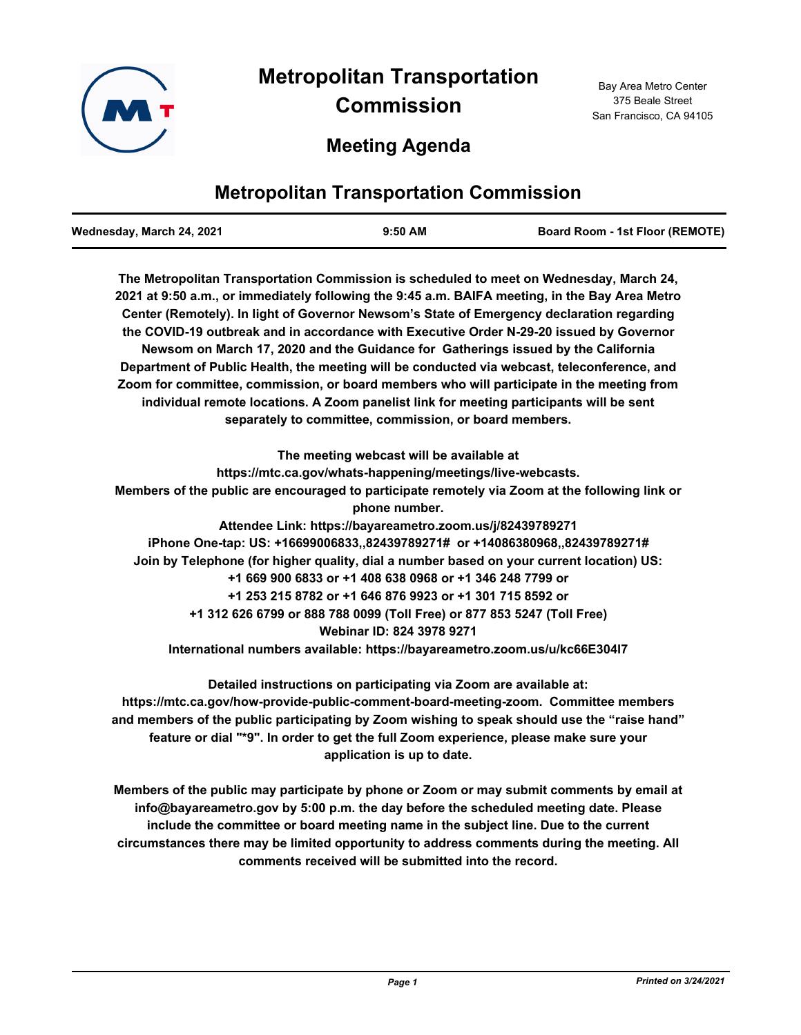

# **Meeting Agenda**

# **Metropolitan Transportation Commission**

| Wednesday, March 24, 2021 | $9:50$ AM | <b>Board Room - 1st Floor (REMOTE)</b> |
|---------------------------|-----------|----------------------------------------|
|                           |           |                                        |

**The Metropolitan Transportation Commission is scheduled to meet on Wednesday, March 24, 2021 at 9:50 a.m., or immediately following the 9:45 a.m. BAIFA meeting, in the Bay Area Metro Center (Remotely). In light of Governor Newsom's State of Emergency declaration regarding the COVID-19 outbreak and in accordance with Executive Order N-29-20 issued by Governor Newsom on March 17, 2020 and the Guidance for Gatherings issued by the California Department of Public Health, the meeting will be conducted via webcast, teleconference, and Zoom for committee, commission, or board members who will participate in the meeting from individual remote locations. A Zoom panelist link for meeting participants will be sent separately to committee, commission, or board members.**

**The meeting webcast will be available at https://mtc.ca.gov/whats-happening/meetings/live-webcasts. Members of the public are encouraged to participate remotely via Zoom at the following link or phone number. Attendee Link: https://bayareametro.zoom.us/j/82439789271 iPhone One-tap: US: +16699006833,,82439789271# or +14086380968,,82439789271# Join by Telephone (for higher quality, dial a number based on your current location) US: +1 669 900 6833 or +1 408 638 0968 or +1 346 248 7799 or +1 253 215 8782 or +1 646 876 9923 or +1 301 715 8592 or +1 312 626 6799 or 888 788 0099 (Toll Free) or 877 853 5247 (Toll Free) Webinar ID: 824 3978 9271 International numbers available: https://bayareametro.zoom.us/u/kc66E304l7**

**Detailed instructions on participating via Zoom are available at: https://mtc.ca.gov/how-provide-public-comment-board-meeting-zoom. Committee members and members of the public participating by Zoom wishing to speak should use the "raise hand" feature or dial "\*9". In order to get the full Zoom experience, please make sure your application is up to date.**

**Members of the public may participate by phone or Zoom or may submit comments by email at info@bayareametro.gov by 5:00 p.m. the day before the scheduled meeting date. Please include the committee or board meeting name in the subject line. Due to the current circumstances there may be limited opportunity to address comments during the meeting. All comments received will be submitted into the record.**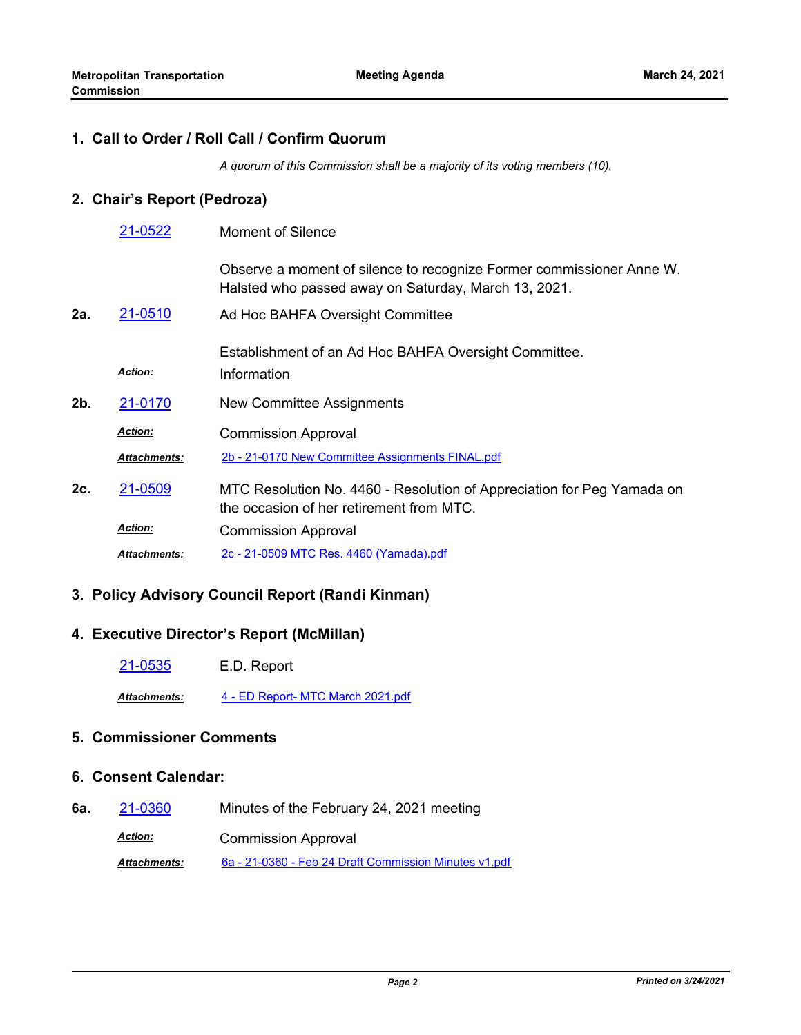### **1. Call to Order / Roll Call / Confirm Quorum**

*A quorum of this Commission shall be a majority of its voting members (10).*

### **2. Chair's Report (Pedroza)**

|     | 21-0522             | <b>Moment of Silence</b>                                                                                                     |
|-----|---------------------|------------------------------------------------------------------------------------------------------------------------------|
|     |                     | Observe a moment of silence to recognize Former commissioner Anne W.<br>Halsted who passed away on Saturday, March 13, 2021. |
| 2а. | 21-0510             | Ad Hoc BAHFA Oversight Committee                                                                                             |
|     | <b>Action:</b>      | Establishment of an Ad Hoc BAHFA Oversight Committee.<br>Information                                                         |
| 2b. | 21-0170             | New Committee Assignments                                                                                                    |
|     | <b>Action:</b>      | <b>Commission Approval</b>                                                                                                   |
|     | Attachments:        | 2b - 21-0170 New Committee Assignments FINAL.pdf                                                                             |
| 2c. | 21-0509             | MTC Resolution No. 4460 - Resolution of Appreciation for Peg Yamada on<br>the occasion of her retirement from MTC.           |
|     | <b>Action:</b>      | <b>Commission Approval</b>                                                                                                   |
|     | <b>Attachments:</b> | 2c - 21-0509 MTC Res. 4460 (Yamada).pdf                                                                                      |

#### **3. Policy Advisory Council Report (Randi Kinman)**

#### **4. Executive Director's Report (McMillan)**

[21-0535](http://mtc.legistar.com/gateway.aspx?m=l&id=/matter.aspx?key=22128) E.D. Report

*Attachments:* [4 - ED Report- MTC March 2021.pdf](http://mtc.legistar.com/gateway.aspx?M=F&ID=6c725c22-7245-4456-8408-d19b794c8970.pdf)

### **5. Commissioner Comments**

### **6. Consent Calendar:**

- **6a.** [21-0360](http://mtc.legistar.com/gateway.aspx?m=l&id=/matter.aspx?key=21953) Minutes of the February 24, 2021 meeting
	- Commission Approval *Action:*

*Attachments:* [6a - 21-0360 - Feb 24 Draft Commission Minutes v1.pdf](http://mtc.legistar.com/gateway.aspx?M=F&ID=edb2962b-827a-4d39-ab45-1845fbaa4646.pdf)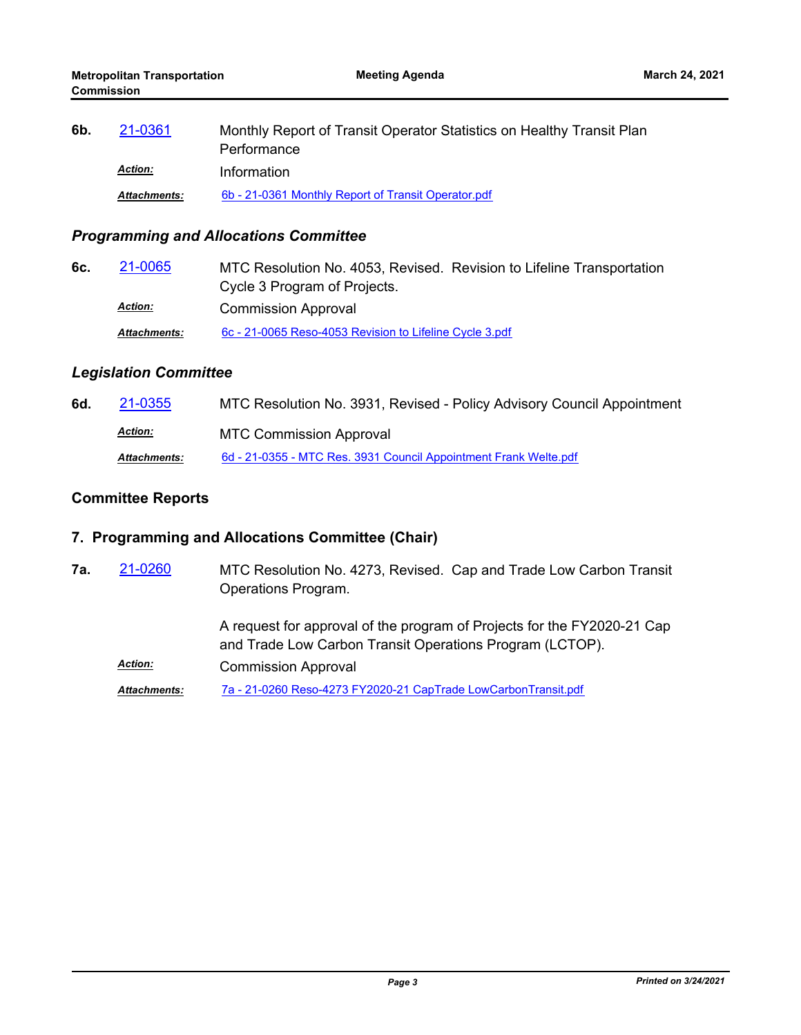| 6b. | 21-0361        | Monthly Report of Transit Operator Statistics on Healthy Transit Plan<br>Performance |
|-----|----------------|--------------------------------------------------------------------------------------|
|     | <b>Action:</b> | Information                                                                          |
|     | Attachments:   | 6b - 21-0361 Monthly Report of Transit Operator.pdf                                  |

## *Programming and Allocations Committee*

| 6c. | 21-0065             | MTC Resolution No. 4053, Revised. Revision to Lifeline Transportation |
|-----|---------------------|-----------------------------------------------------------------------|
|     |                     | Cycle 3 Program of Projects.                                          |
|     | <b>Action:</b>      | <b>Commission Approval</b>                                            |
|     | <b>Attachments:</b> | 6c - 21-0065 Reso-4053 Revision to Lifeline Cycle 3.pdf               |

### *Legislation Committee*

| 6d. | 21-0355             | MTC Resolution No. 3931, Revised - Policy Advisory Council Appointment |
|-----|---------------------|------------------------------------------------------------------------|
|     | <u>Action:</u>      | <b>MTC Commission Approval</b>                                         |
|     | <b>Attachments:</b> | 6d - 21-0355 - MTC Res. 3931 Council Appointment Frank Welte.pdf       |

## **Committee Reports**

## **7. Programming and Allocations Committee (Chair)**

| 7а. | 21-0260             | MTC Resolution No. 4273, Revised. Cap and Trade Low Carbon Transit<br>Operations Program.                                           |
|-----|---------------------|-------------------------------------------------------------------------------------------------------------------------------------|
|     |                     | A request for approval of the program of Projects for the FY2020-21 Cap<br>and Trade Low Carbon Transit Operations Program (LCTOP). |
|     | <b>Action:</b>      | <b>Commission Approval</b>                                                                                                          |
|     | <b>Attachments:</b> | 7a - 21-0260 Reso-4273 FY2020-21 CapTrade LowCarbonTransit.pdf                                                                      |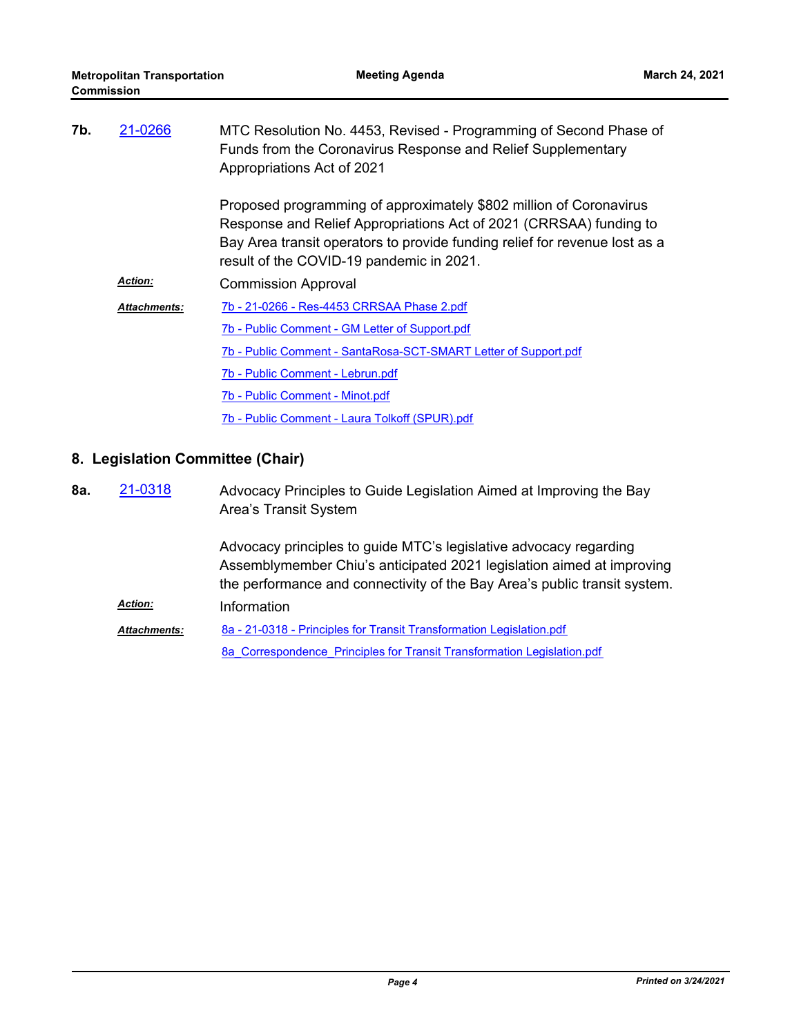| 7b. | 21-0266             | MTC Resolution No. 4453, Revised - Programming of Second Phase of<br>Funds from the Coronavirus Response and Relief Supplementary<br>Appropriations Act of 2021                                                                                                    |
|-----|---------------------|--------------------------------------------------------------------------------------------------------------------------------------------------------------------------------------------------------------------------------------------------------------------|
|     |                     | Proposed programming of approximately \$802 million of Coronavirus<br>Response and Relief Appropriations Act of 2021 (CRRSAA) funding to<br>Bay Area transit operators to provide funding relief for revenue lost as a<br>result of the COVID-19 pandemic in 2021. |
|     | <b>Action:</b>      | <b>Commission Approval</b>                                                                                                                                                                                                                                         |
|     | <b>Attachments:</b> | 7b - 21-0266 - Res-4453 CRRSAA Phase 2.pdf                                                                                                                                                                                                                         |
|     |                     | 7b - Public Comment - GM Letter of Support.pdf                                                                                                                                                                                                                     |
|     |                     | 7b - Public Comment - SantaRosa-SCT-SMART Letter of Support.pdf                                                                                                                                                                                                    |
|     |                     | 7b - Public Comment - Lebrun.pdf                                                                                                                                                                                                                                   |
|     |                     | 7b - Public Comment - Minot.pdf                                                                                                                                                                                                                                    |
|     |                     | 7b - Public Comment - Laura Tolkoff (SPUR).pdf                                                                                                                                                                                                                     |

### **8. Legislation Committee (Chair)**

| 8a. | 21-0318 | Advocacy Principles to Guide Legislation Aimed at Improving the Bay |
|-----|---------|---------------------------------------------------------------------|
|     |         | Area's Transit System                                               |

Advocacy principles to guide MTC's legislative advocacy regarding Assemblymember Chiu's anticipated 2021 legislation aimed at improving the performance and connectivity of the Bay Area's public transit system. *Action:* Information

[8a - 21-0318 - Principles for Transit Transformation Legislation.pdf](http://mtc.legistar.com/gateway.aspx?M=F&ID=28c8b587-4399-4de7-85d4-0cda2c062e01.pdf) [8a\\_Correspondence\\_Principles for Transit Transformation Legislation.pdf](http://mtc.legistar.com/gateway.aspx?M=F&ID=88001c00-1423-4144-83d6-bafd55ea473c.pdf) *Attachments:*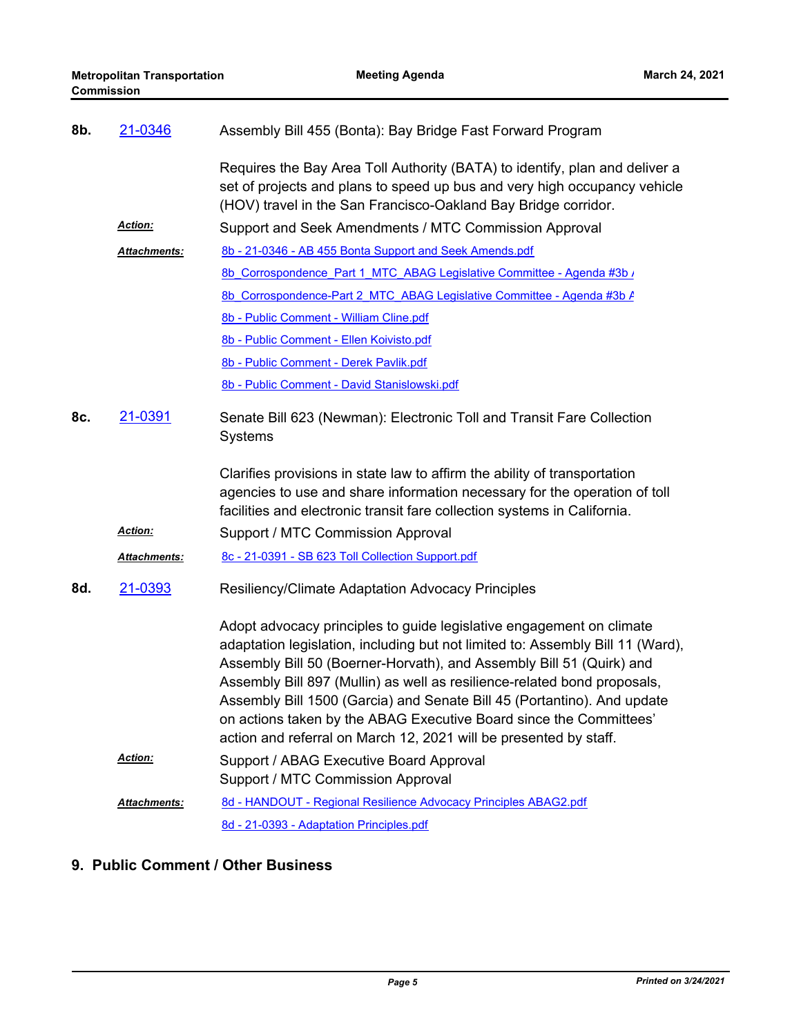| 8b. | 21-0346             | Assembly Bill 455 (Bonta): Bay Bridge Fast Forward Program                                                                                                                                                                                                                                                                                                                                                                                                                                                                       |
|-----|---------------------|----------------------------------------------------------------------------------------------------------------------------------------------------------------------------------------------------------------------------------------------------------------------------------------------------------------------------------------------------------------------------------------------------------------------------------------------------------------------------------------------------------------------------------|
|     |                     | Requires the Bay Area Toll Authority (BATA) to identify, plan and deliver a<br>set of projects and plans to speed up bus and very high occupancy vehicle<br>(HOV) travel in the San Francisco-Oakland Bay Bridge corridor.                                                                                                                                                                                                                                                                                                       |
|     | Action:             | Support and Seek Amendments / MTC Commission Approval                                                                                                                                                                                                                                                                                                                                                                                                                                                                            |
|     | <b>Attachments:</b> | 8b - 21-0346 - AB 455 Bonta Support and Seek Amends.pdf                                                                                                                                                                                                                                                                                                                                                                                                                                                                          |
|     |                     | 8b Corrospondence Part 1 MTC ABAG Legislative Committee - Agenda #3b /                                                                                                                                                                                                                                                                                                                                                                                                                                                           |
|     |                     | 8b Corrospondence-Part 2 MTC ABAG Legislative Committee - Agenda #3b A                                                                                                                                                                                                                                                                                                                                                                                                                                                           |
|     |                     | 8b - Public Comment - William Cline.pdf                                                                                                                                                                                                                                                                                                                                                                                                                                                                                          |
|     |                     | 8b - Public Comment - Ellen Koivisto.pdf                                                                                                                                                                                                                                                                                                                                                                                                                                                                                         |
|     |                     | 8b - Public Comment - Derek Pavlik.pdf                                                                                                                                                                                                                                                                                                                                                                                                                                                                                           |
|     |                     | 8b - Public Comment - David Stanislowski.pdf                                                                                                                                                                                                                                                                                                                                                                                                                                                                                     |
| 8c. | 21-0391             | Senate Bill 623 (Newman): Electronic Toll and Transit Fare Collection<br>Systems                                                                                                                                                                                                                                                                                                                                                                                                                                                 |
|     |                     | Clarifies provisions in state law to affirm the ability of transportation<br>agencies to use and share information necessary for the operation of toll<br>facilities and electronic transit fare collection systems in California.                                                                                                                                                                                                                                                                                               |
|     | Action:             | Support / MTC Commission Approval                                                                                                                                                                                                                                                                                                                                                                                                                                                                                                |
|     | <b>Attachments:</b> | 8c - 21-0391 - SB 623 Toll Collection Support.pdf                                                                                                                                                                                                                                                                                                                                                                                                                                                                                |
| 8d. | 21-0393             | <b>Resiliency/Climate Adaptation Advocacy Principles</b>                                                                                                                                                                                                                                                                                                                                                                                                                                                                         |
|     |                     | Adopt advocacy principles to guide legislative engagement on climate<br>adaptation legislation, including but not limited to: Assembly Bill 11 (Ward),<br>Assembly Bill 50 (Boerner-Horvath), and Assembly Bill 51 (Quirk) and<br>Assembly Bill 897 (Mullin) as well as resilience-related bond proposals,<br>Assembly Bill 1500 (Garcia) and Senate Bill 45 (Portantino). And update<br>on actions taken by the ABAG Executive Board since the Committees'<br>action and referral on March 12, 2021 will be presented by staff. |
|     | Action:             | Support / ABAG Executive Board Approval<br>Support / MTC Commission Approval                                                                                                                                                                                                                                                                                                                                                                                                                                                     |
|     | Attachments:        | 8d - HANDOUT - Regional Resilience Advocacy Principles ABAG2.pdf                                                                                                                                                                                                                                                                                                                                                                                                                                                                 |
|     |                     | 8d - 21-0393 - Adaptation Principles.pdf                                                                                                                                                                                                                                                                                                                                                                                                                                                                                         |

## **9. Public Comment / Other Business**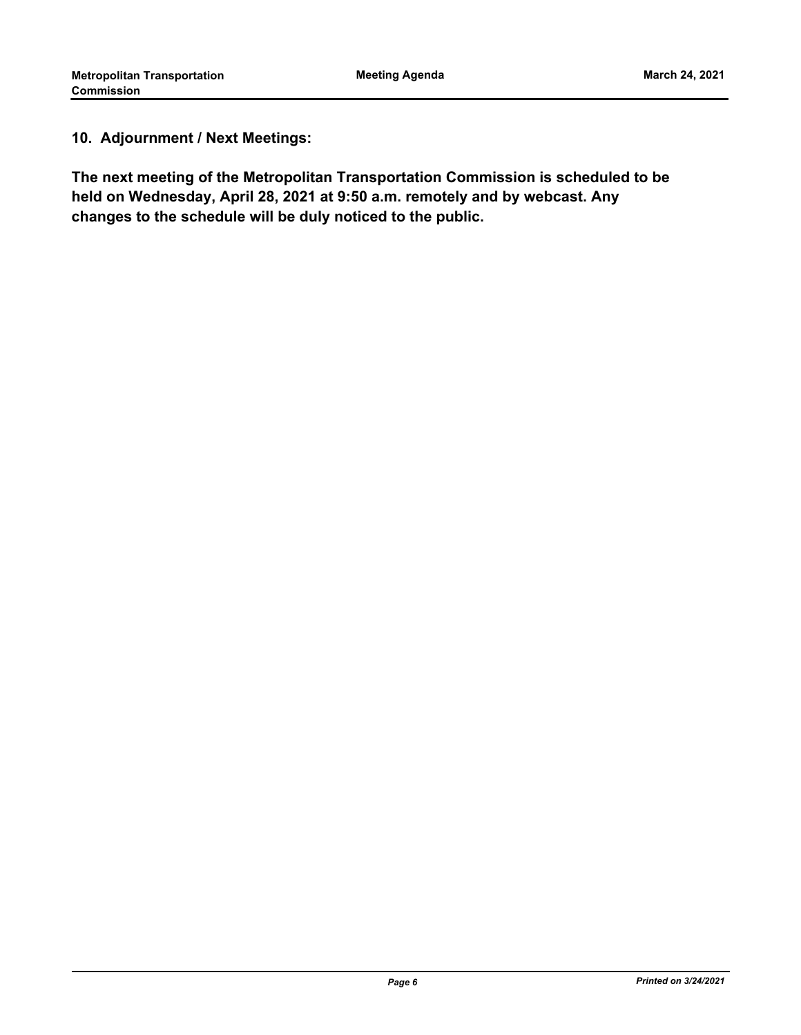### **10. Adjournment / Next Meetings:**

**The next meeting of the Metropolitan Transportation Commission is scheduled to be held on Wednesday, April 28, 2021 at 9:50 a.m. remotely and by webcast. Any changes to the schedule will be duly noticed to the public.**